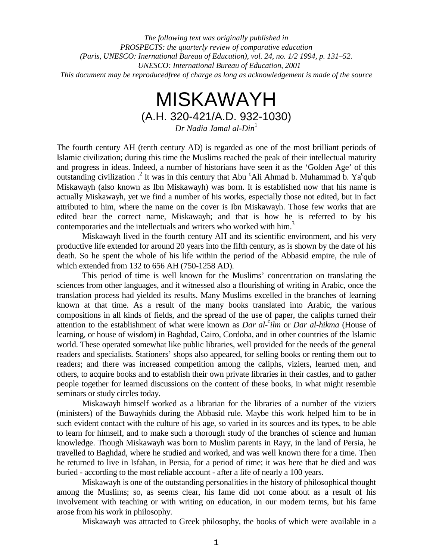*The following text was originally published in PROSPECTS: the quarterly review of comparative education (Paris, UNESCO: Inernational Bureau of Education), vol. 24, no. 1/2 1994, p. 131–52. UNESCO: International Bureau of Education, 2001 This document may be reproducedfree of charge as long as acknowledgement is made of the source*

# MISKAWAYH (A.H. 320-421/A.D. 932-1030)

*Dr Nadia Jamal al-Din*<sup>1</sup>

The fourth century AH (tenth century AD) is regarded as one of the most brilliant periods of Islamic civilization; during this time the Muslims reached the peak of their intellectual maturity and progress in ideas. Indeed, a number of historians have seen it as the 'Golden Age' of this outstanding civilization .<sup>2</sup> It was in this century that Abu <sup>c</sup>Ali Ahmad b. Muhammad b. Ya<sup>c</sup>qub Miskawayh (also known as Ibn Miskawayh) was born. It is established now that his name is actually Miskawayh, yet we find a number of his works, especially those not edited, but in fact attributed to him, where the name on the cover is Ibn Miskawayh. Those few works that are edited bear the correct name, Miskawayh; and that is how he is referred to by his contemporaries and the intellectuals and writers who worked with him.<sup>3</sup>

Miskawayh lived in the fourth century AH and its scientific environment, and his very productive life extended for around 20 years into the fifth century, as is shown by the date of his death. So he spent the whole of his life within the period of the Abbasid empire, the rule of which extended from 132 to 656 AH (750-1258 AD).

This period of time is well known for the Muslims' concentration on translating the sciences from other languages, and it witnessed also a flourishing of writing in Arabic, once the translation process had yielded its results. Many Muslims excelled in the branches of learning known at that time. As a result of the many books translated into Arabic, the various compositions in all kinds of fields, and the spread of the use of paper, the caliphs turned their attention to the establishment of what were known as *Dar al-<sup>c</sup>ilm* or *Dar al-hikma* (House of learning, or house of wisdom) in Baghdad, Cairo, Cordoba, and in other countries of the Islamic world. These operated somewhat like public libraries, well provided for the needs of the general readers and specialists. Stationers' shops also appeared, for selling books or renting them out to readers; and there was increased competition among the caliphs, viziers, learned men, and others, to acquire books and to establish their own private libraries in their castles, and to gather people together for learned discussions on the content of these books, in what might resemble seminars or study circles today.

Miskawayh himself worked as a librarian for the libraries of a number of the viziers (ministers) of the Buwayhids during the Abbasid rule. Maybe this work helped him to be in such evident contact with the culture of his age, so varied in its sources and its types, to be able to learn for himself, and to make such a thorough study of the branches of science and human knowledge. Though Miskawayh was born to Muslim parents in Rayy, in the land of Persia, he travelled to Baghdad, where he studied and worked, and was well known there for a time. Then he returned to live in Isfahan, in Persia, for a period of time; it was here that he died and was buried - according to the most reliable account - after a life of nearly a 100 years.

Miskawayh is one of the outstanding personalities in the history of philosophical thought among the Muslims; so, as seems clear, his fame did not come about as a result of his involvement with teaching or with writing on education, in our modern terms, but his fame arose from his work in philosophy.

Miskawayh was attracted to Greek philosophy, the books of which were available in a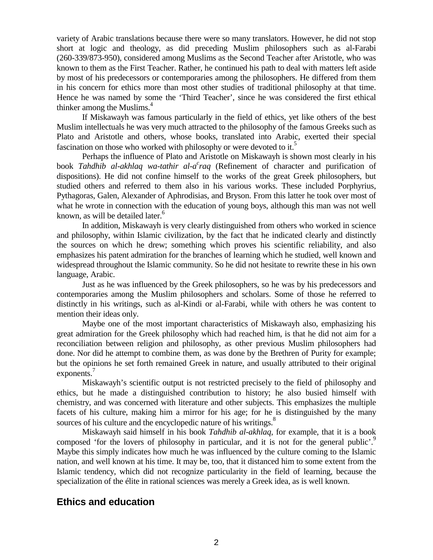variety of Arabic translations because there were so many translators. However, he did not stop short at logic and theology, as did preceding Muslim philosophers such as al-Farabi (260-339/873-950), considered among Muslims as the Second Teacher after Aristotle, who was known to them as the First Teacher. Rather, he continued his path to deal with matters left aside by most of his predecessors or contemporaries among the philosophers. He differed from them in his concern for ethics more than most other studies of traditional philosophy at that time. Hence he was named by some the 'Third Teacher', since he was considered the first ethical thinker among the Muslims.<sup>4</sup>

If Miskawayh was famous particularly in the field of ethics, yet like others of the best Muslim intellectuals he was very much attracted to the philosophy of the famous Greeks such as Plato and Aristotle and others, whose books, translated into Arabic, exerted their special fascination on those who worked with philosophy or were devoted to it.<sup>5</sup>

Perhaps the influence of Plato and Aristotle on Miskawayh is shown most clearly in his book *Tahdhib al-akhlaq wa-tathir al-a<sup>c</sup>raq* (Refinement of character and purification of dispositions). He did not confine himself to the works of the great Greek philosophers, but studied others and referred to them also in his various works. These included Porphyrius, Pythagoras, Galen, Alexander of Aphrodisias, and Bryson. From this latter he took over most of what he wrote in connection with the education of young boys, although this man was not well known, as will be detailed later.<sup>6</sup>

In addition, Miskawayh is very clearly distinguished from others who worked in science and philosophy, within Islamic civilization, by the fact that he indicated clearly and distinctly the sources on which he drew; something which proves his scientific reliability, and also emphasizes his patent admiration for the branches of learning which he studied, well known and widespread throughout the Islamic community. So he did not hesitate to rewrite these in his own language, Arabic.

Just as he was influenced by the Greek philosophers, so he was by his predecessors and contemporaries among the Muslim philosophers and scholars. Some of those he referred to distinctly in his writings, such as al-Kindi or al-Farabi, while with others he was content to mention their ideas only.

Maybe one of the most important characteristics of Miskawayh also, emphasizing his great admiration for the Greek philosophy which had reached him, is that he did not aim for a reconciliation between religion and philosophy, as other previous Muslim philosophers had done. Nor did he attempt to combine them, as was done by the Brethren of Purity for example; but the opinions he set forth remained Greek in nature, and usually attributed to their original exponents.<sup>7</sup>

Miskawayh's scientific output is not restricted precisely to the field of philosophy and ethics, but he made a distinguished contribution to history; he also busied himself with chemistry, and was concerned with literature and other subjects. This emphasizes the multiple facets of his culture, making him a mirror for his age; for he is distinguished by the many sources of his culture and the encyclopedic nature of his writings.<sup>8</sup>

Miskawayh said himself in his book *Tahdhib al-akhlaq,* for example, that it is a book composed 'for the lovers of philosophy in particular, and it is not for the general public'.<sup>9</sup> Maybe this simply indicates how much he was influenced by the culture coming to the Islamic nation, and well known at his time. It may be, too, that it distanced him to some extent from the Islamic tendency, which did not recognize particularity in the field of learning, because the specialization of the élite in rational sciences was merely a Greek idea, as is well known.

## **Ethics and education**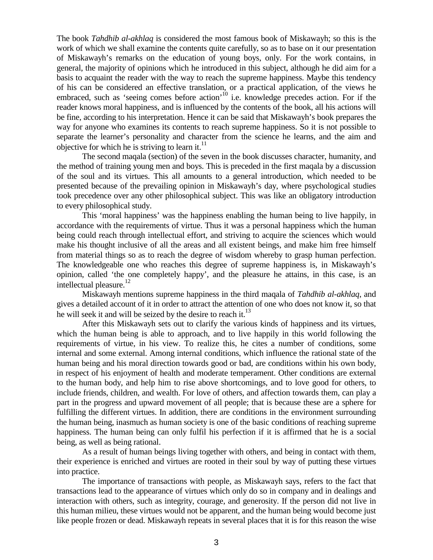The book *Tahdhib al-akhlaq* is considered the most famous book of Miskawayh; so this is the work of which we shall examine the contents quite carefully, so as to base on it our presentation of Miskawayh's remarks on the education of young boys, only. For the work contains, in general, the majority of opinions which he introduced in this subject, although he did aim for a basis to acquaint the reader with the way to reach the supreme happiness. Maybe this tendency of his can be considered an effective translation, or a practical application, of the views he embraced, such as 'seeing comes before action'<sup>10</sup> i.e. knowledge precedes action. For if the reader knows moral happiness, and is influenced by the contents of the book, all his actions will be fine, according to his interpretation. Hence it can be said that Miskawayh's book prepares the way for anyone who examines its contents to reach supreme happiness. So it is not possible to separate the learner's personality and character from the science he learns, and the aim and objective for which he is striving to learn it. $^{11}$ 

The second maqala (section) of the seven in the book discusses character, humanity, and the method of training young men and boys. This is preceded in the first maqala by a discussion of the soul and its virtues. This all amounts to a general introduction, which needed to be presented because of the prevailing opinion in Miskawayh's day, where psychological studies took precedence over any other philosophical subject. This was like an obligatory introduction to every philosophical study.

This 'moral happiness' was the happiness enabling the human being to live happily, in accordance with the requirements of virtue. Thus it was a personal happiness which the human being could reach through intellectual effort, and striving to acquire the sciences which would make his thought inclusive of all the areas and all existent beings, and make him free himself from material things so as to reach the degree of wisdom whereby to grasp human perfection. The knowledgeable one who reaches this degree of supreme happiness is, in Miskawayh's opinion, called 'the one completely happy', and the pleasure he attains, in this case, is an intellectual pleasure.<sup>12</sup>

Miskawayh mentions supreme happiness in the third maqala of *Tahdhib al-akhlaq*, and gives a detailed account of it in order to attract the attention of one who does not know it, so that he will seek it and will be seized by the desire to reach it.<sup>13</sup>

After this Miskawayh sets out to clarify the various kinds of happiness and its virtues, which the human being is able to approach, and to live happily in this world following the requirements of virtue, in his view. To realize this, he cites a number of conditions, some internal and some external. Among internal conditions, which influence the rational state of the human being and his moral direction towards good or bad, are conditions within his own body, in respect of his enjoyment of health and moderate temperament. Other conditions are external to the human body, and help him to rise above shortcomings, and to love good for others, to include friends, children, and wealth. For love of others, and affection towards them, can play a part in the progress and upward movement of all people; that is because these are a sphere for fulfilling the different virtues. In addition, there are conditions in the environment surrounding the human being, inasmuch as human society is one of the basic conditions of reaching supreme happiness. The human being can only fulfil his perfection if it is affirmed that he is a social being, as well as being rational.

As a result of human beings living together with others, and being in contact with them, their experience is enriched and virtues are rooted in their soul by way of putting these virtues into practice.

The importance of transactions with people, as Miskawayh says, refers to the fact that transactions lead to the appearance of virtues which only do so in company and in dealings and interaction with others, such as integrity, courage, and generosity. If the person did not live in this human milieu, these virtues would not be apparent, and the human being would become just like people frozen or dead. Miskawayh repeats in several places that it is for this reason the wise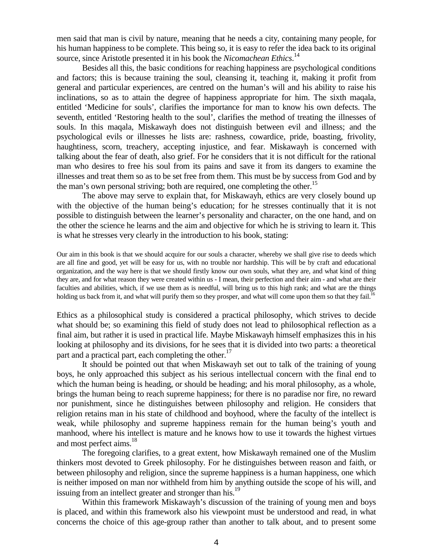men said that man is civil by nature, meaning that he needs a city, containing many people, for his human happiness to be complete. This being so, it is easy to refer the idea back to its original source, since Aristotle presented it in his book the *Nicomachean Ethics*. 14

Besides all this, the basic conditions for reaching happiness are psychological conditions and factors; this is because training the soul, cleansing it, teaching it, making it profit from general and particular experiences, are centred on the human's will and his ability to raise his inclinations, so as to attain the degree of happiness appropriate for him. The sixth maqala, entitled 'Medicine for souls', clarifies the importance for man to know his own defects. The seventh, entitled 'Restoring health to the soul', clarifies the method of treating the illnesses of souls. In this maqala, Miskawayh does not distinguish between evil and illness; and the psychological evils or illnesses he lists are: rashness, cowardice, pride, boasting, frivolity, haughtiness, scorn, treachery, accepting injustice, and fear. Miskawayh is concerned with talking about the fear of death, also grief. For he considers that it is not difficult for the rational man who desires to free his soul from its pains and save it from its dangers to examine the illnesses and treat them so as to be set free from them. This must be by success from God and by the man's own personal striving; both are required, one completing the other.<sup>15</sup>

The above may serve to explain that, for Miskawayh, ethics are very closely bound up with the objective of the human being's education; for he stresses continually that it is not possible to distinguish between the learner's personality and character, on the one hand, and on the other the science he learns and the aim and objective for which he is striving to learn it. This is what he stresses very clearly in the introduction to his book, stating:

Our aim in this book is that we should acquire for our souls a character, whereby we shall give rise to deeds which are all fine and good, yet will be easy for us, with no trouble nor hardship. This will be by craft and educational organization, and the way here is that we should firstly know our own souls, what they are, and what kind of thing they are, and for what reason they were created within us - I mean, their perfection and their aim - and what are their faculties and abilities, which, if we use them as is needful, will bring us to this high rank; and what are the things holding us back from it, and what will purify them so they prosper, and what will come upon them so that they fail.<sup>16</sup>

Ethics as a philosophical study is considered a practical philosophy, which strives to decide what should be; so examining this field of study does not lead to philosophical reflection as a final aim, but rather it is used in practical life. Maybe Miskawayh himself emphasizes this in his looking at philosophy and its divisions, for he sees that it is divided into two parts: a theoretical part and a practical part, each completing the other. $17$ 

It should be pointed out that when Miskawayh set out to talk of the training of young boys, he only approached this subject as his serious intellectual concern with the final end to which the human being is heading, or should be heading; and his moral philosophy, as a whole, brings the human being to reach supreme happiness; for there is no paradise nor fire, no reward nor punishment, since he distinguishes between philosophy and religion. He considers that religion retains man in his state of childhood and boyhood, where the faculty of the intellect is weak, while philosophy and supreme happiness remain for the human being's youth and manhood, where his intellect is mature and he knows how to use it towards the highest virtues and most perfect aims.<sup>18</sup>

The foregoing clarifies, to a great extent, how Miskawayh remained one of the Muslim thinkers most devoted to Greek philosophy. For he distinguishes between reason and faith, or between philosophy and religion, since the supreme happiness is a human happiness, one which is neither imposed on man nor withheld from him by anything outside the scope of his will, and issuing from an intellect greater and stronger than his.<sup>19</sup>

Within this framework Miskawayh's discussion of the training of young men and boys is placed, and within this framework also his viewpoint must be understood and read, in what concerns the choice of this age-group rather than another to talk about, and to present some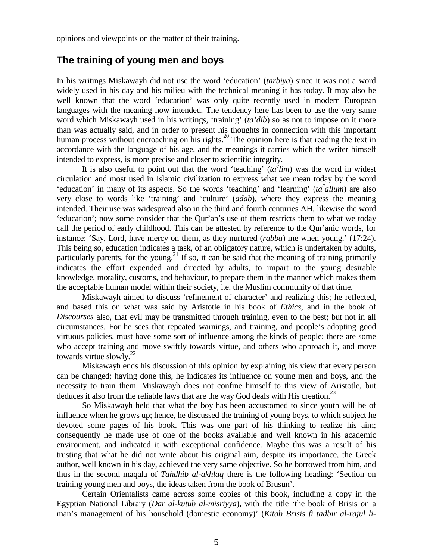opinions and viewpoints on the matter of their training.

## **The training of young men and boys**

In his writings Miskawayh did not use the word 'education' (*tarbiya*) since it was not a word widely used in his day and his milieu with the technical meaning it has today. It may also be well known that the word 'education' was only quite recently used in modern European languages with the meaning now intended. The tendency here has been to use the very same word which Miskawayh used in his writings, 'training' (*ta'dib*) so as not to impose on it more than was actually said, and in order to present his thoughts in connection with this important human process without encroaching on his rights.<sup>20</sup> The opinion here is that reading the text in accordance with the language of his age, and the meanings it carries which the writer himself intended to express, is more precise and closer to scientific integrity.

It is also useful to point out that the word 'teaching'  $(\alpha^{\circ}$ *lim*) was the word in widest circulation and most used in Islamic civilization to express what we mean today by the word 'education' in many of its aspects. So the words 'teaching' and 'learning' (*ta*<sup>c</sup>allum) are also very close to words like 'training' and 'culture' (*adab*), where they express the meaning intended. Their use was widespread also in the third and fourth centuries AH, likewise the word 'education'; now some consider that the Qur'an's use of them restricts them to what we today call the period of early childhood. This can be attested by reference to the Qur'anic words, for instance: 'Say, Lord, have mercy on them, as they nurtured (*rabba*) me when young.' (17:24). This being so, education indicates a task, of an obligatory nature, which is undertaken by adults, particularly parents, for the young.<sup>21</sup> If so, it can be said that the meaning of training primarily indicates the effort expended and directed by adults, to impart to the young desirable knowledge, morality, customs, and behaviour, to prepare them in the manner which makes them the acceptable human model within their society, i.e. the Muslim community of that time.

Miskawayh aimed to discuss 'refinement of character' and realizing this; he reflected, and based this on what was said by Aristotle in his book of *Ethics*, and in the book of *Discourses* also, that evil may be transmitted through training, even to the best; but not in all circumstances. For he sees that repeated warnings, and training, and people's adopting good virtuous policies, must have some sort of influence among the kinds of people; there are some who accept training and move swiftly towards virtue, and others who approach it, and move towards virtue slowly. $^{22}$ 

Miskawayh ends his discussion of this opinion by explaining his view that every person can be changed; having done this, he indicates its influence on young men and boys, and the necessity to train them. Miskawayh does not confine himself to this view of Aristotle, but deduces it also from the reliable laws that are the way God deals with His creation.<sup>23</sup>

So Miskawayh held that what the boy has been accustomed to since youth will be of influence when he grows up; hence, he discussed the training of young boys, to which subject he devoted some pages of his book. This was one part of his thinking to realize his aim; consequently he made use of one of the books available and well known in his academic environment, and indicated it with exceptional confidence. Maybe this was a result of his trusting that what he did not write about his original aim, despite its importance, the Greek author, well known in his day, achieved the very same objective. So he borrowed from him, and thus in the second maqala of *Tahdhib al-akhlaq* there is the following heading: 'Section on training young men and boys, the ideas taken from the book of Brusun'.

Certain Orientalists came across some copies of this book, including a copy in the Egyptian National Library (*Dar al-kutub al-misriyya*), with the title 'the book of Brisis on a man's management of his household (domestic economy)' (*Kitab Brisis fi tadbir al-rajul li-*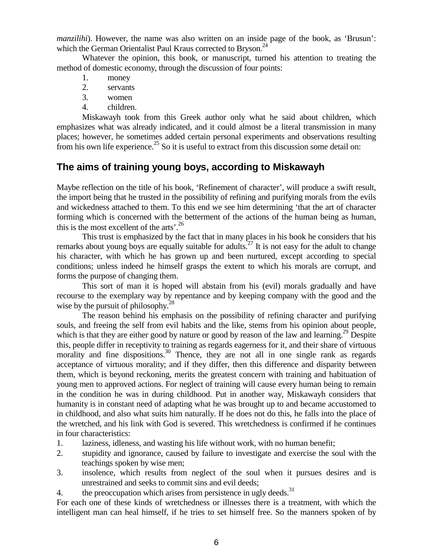*manzilihi*). However, the name was also written on an inside page of the book, as 'Brusun': which the German Orientalist Paul Kraus corrected to Bryson.<sup>24</sup>

Whatever the opinion, this book, or manuscript, turned his attention to treating the method of domestic economy, through the discussion of four points:

- 1. money
- 2. servants
- 3. women
- 4. children.

Miskawayh took from this Greek author only what he said about children, which emphasizes what was already indicated, and it could almost be a literal transmission in many places; however, he sometimes added certain personal experiments and observations resulting from his own life experience.<sup>25</sup> So it is useful to extract from this discussion some detail on:

# **The aims of training young boys, according to Miskawayh**

Maybe reflection on the title of his book, 'Refinement of character', will produce a swift result, the import being that he trusted in the possibility of refining and purifying morals from the evils and wickedness attached to them. To this end we see him determining 'that the art of character forming which is concerned with the betterment of the actions of the human being as human, this is the most excellent of the arts'. $26$ 

This trust is emphasized by the fact that in many places in his book he considers that his remarks about young boys are equally suitable for adults.<sup>27</sup> It is not easy for the adult to change his character, with which he has grown up and been nurtured, except according to special conditions; unless indeed he himself grasps the extent to which his morals are corrupt, and forms the purpose of changing them.

This sort of man it is hoped will abstain from his (evil) morals gradually and have recourse to the exemplary way by repentance and by keeping company with the good and the wise by the pursuit of philosophy. $^{28}$ 

The reason behind his emphasis on the possibility of refining character and purifying souls, and freeing the self from evil habits and the like, stems from his opinion about people, which is that they are either good by nature or good by reason of the law and learning.<sup>29</sup> Despite this, people differ in receptivity to training as regards eagerness for it, and their share of virtuous morality and fine dispositions.<sup>30</sup> Thence, they are not all in one single rank as regards acceptance of virtuous morality; and if they differ, then this difference and disparity between them, which is beyond reckoning, merits the greatest concern with training and habituation of young men to approved actions. For neglect of training will cause every human being to remain in the condition he was in during childhood. Put in another way, Miskawayh considers that humanity is in constant need of adapting what he was brought up to and became accustomed to in childhood, and also what suits him naturally. If he does not do this, he falls into the place of the wretched, and his link with God is severed. This wretchedness is confirmed if he continues in four characteristics:

- 1. laziness, idleness, and wasting his life without work, with no human benefit;
- 2. stupidity and ignorance, caused by failure to investigate and exercise the soul with the teachings spoken by wise men;
- 3. insolence, which results from neglect of the soul when it pursues desires and is unrestrained and seeks to commit sins and evil deeds;
- 4. the preoccupation which arises from persistence in ugly deeds. $31$

For each one of these kinds of wretchedness or illnesses there is a treatment, with which the intelligent man can heal himself, if he tries to set himself free. So the manners spoken of by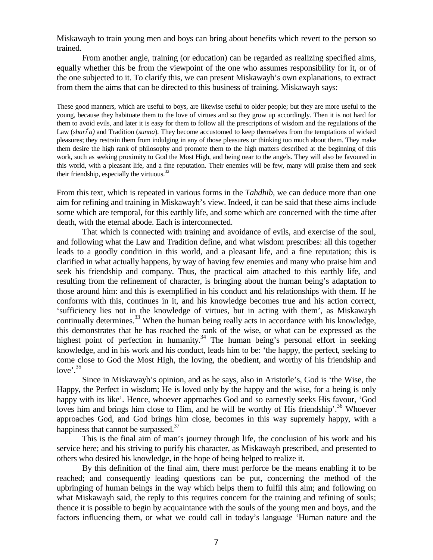Miskawayh to train young men and boys can bring about benefits which revert to the person so trained.

From another angle, training (or education) can be regarded as realizing specified aims, equally whether this be from the viewpoint of the one who assumes responsibility for it, or of the one subjected to it. To clarify this, we can present Miskawayh's own explanations, to extract from them the aims that can be directed to this business of training. Miskawayh says:

These good manners, which are useful to boys, are likewise useful to older people; but they are more useful to the young, because they habituate them to the love of virtues and so they grow up accordingly. Then it is not hard for them to avoid evils, and later it is easy for them to follow all the prescriptions of wisdom and the regulations of the Law (*shari<sup>c</sup>a*) and Tradition (*sunna*). They become accustomed to keep themselves from the temptations of wicked pleasures; they restrain them from indulging in any of those pleasures or thinking too much about them. They make them desire the high rank of philosophy and promote them to the high matters described at the beginning of this work, such as seeking proximity to God the Most High, and being near to the angels. They will also be favoured in this world, with a pleasant life, and a fine reputation. Their enemies will be few, many will praise them and seek their friendship, especially the virtuous. $32$ 

From this text, which is repeated in various forms in the *Tahdhib,* we can deduce more than one aim for refining and training in Miskawayh's view. Indeed, it can be said that these aims include some which are temporal, for this earthly life, and some which are concerned with the time after death, with the eternal abode. Each is interconnected.

That which is connected with training and avoidance of evils, and exercise of the soul, and following what the Law and Tradition define, and what wisdom prescribes: all this together leads to a goodly condition in this world, and a pleasant life, and a fine reputation; this is clarified in what actually happens, by way of having few enemies and many who praise him and seek his friendship and company. Thus, the practical aim attached to this earthly life, and resulting from the refinement of character, is bringing about the human being's adaptation to those around him: and this is exemplified in his conduct and his relationships with them. If he conforms with this, continues in it, and his knowledge becomes true and his action correct, 'sufficiency lies not in the knowledge of virtues, but in acting with them', as Miskawayh continually determines.<sup>33</sup> When the human being really acts in accordance with his knowledge, this demonstrates that he has reached the rank of the wise, or what can be expressed as the highest point of perfection in humanity.<sup>34</sup> The human being's personal effort in seeking knowledge, and in his work and his conduct, leads him to be: 'the happy, the perfect, seeking to come close to God the Most High, the loving, the obedient, and worthy of his friendship and love'. $35$ 

Since in Miskawayh's opinion, and as he says, also in Aristotle's, God is 'the Wise, the Happy, the Perfect in wisdom; He is loved only by the happy and the wise, for a being is only happy with its like'. Hence, whoever approaches God and so earnestly seeks His favour, 'God loves him and brings him close to Him, and he will be worthy of His friendship'.<sup>36</sup> Whoever approaches God, and God brings him close, becomes in this way supremely happy, with a happiness that cannot be surpassed. $37$ 

This is the final aim of man's journey through life, the conclusion of his work and his service here; and his striving to purify his character, as Miskawayh prescribed, and presented to others who desired his knowledge, in the hope of being helped to realize it.

By this definition of the final aim, there must perforce be the means enabling it to be reached; and consequently leading questions can be put, concerning the method of the upbringing of human beings in the way which helps them to fulfil this aim; and following on what Miskawayh said, the reply to this requires concern for the training and refining of souls; thence it is possible to begin by acquaintance with the souls of the young men and boys, and the factors influencing them, or what we could call in today's language 'Human nature and the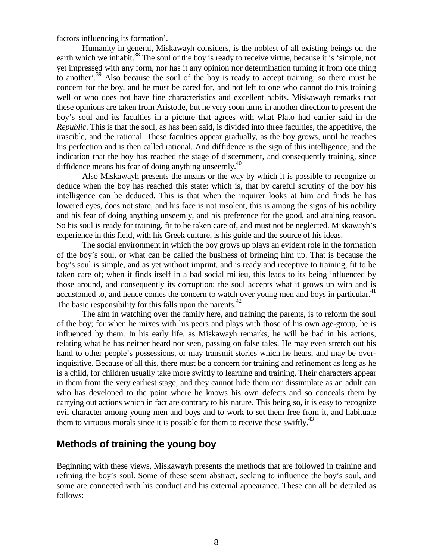factors influencing its formation'.

Humanity in general, Miskawayh considers, is the noblest of all existing beings on the earth which we inhabit.<sup>38</sup> The soul of the boy is ready to receive virtue, because it is 'simple, not yet impressed with any form, nor has it any opinion nor determination turning it from one thing to another'.<sup>39</sup> Also because the soul of the boy is ready to accept training; so there must be concern for the boy, and he must be cared for, and not left to one who cannot do this training well or who does not have fine characteristics and excellent habits. Miskawayh remarks that these opinions are taken from Aristotle, but he very soon turns in another direction to present the boy's soul and its faculties in a picture that agrees with what Plato had earlier said in the *Republic*. This is that the soul, as has been said, is divided into three faculties, the appetitive, the irascible, and the rational. These faculties appear gradually, as the boy grows, until he reaches his perfection and is then called rational. And diffidence is the sign of this intelligence, and the indication that the boy has reached the stage of discernment, and consequently training, since diffidence means his fear of doing anything unseemly. $40$ 

Also Miskawayh presents the means or the way by which it is possible to recognize or deduce when the boy has reached this state: which is, that by careful scrutiny of the boy his intelligence can be deduced. This is that when the inquirer looks at him and finds he has lowered eyes, does not stare, and his face is not insolent, this is among the signs of his nobility and his fear of doing anything unseemly, and his preference for the good, and attaining reason. So his soul is ready for training, fit to be taken care of, and must not be neglected. Miskawayh's experience in this field, with his Greek culture, is his guide and the source of his ideas.

The social environment in which the boy grows up plays an evident role in the formation of the boy's soul, or what can be called the business of bringing him up. That is because the boy's soul is simple, and as yet without imprint, and is ready and receptive to training, fit to be taken care of; when it finds itself in a bad social milieu, this leads to its being influenced by those around, and consequently its corruption: the soul accepts what it grows up with and is accustomed to, and hence comes the concern to watch over young men and boys in particular. $41$ The basic responsibility for this falls upon the parents.<sup>42</sup>

The aim in watching over the family here, and training the parents, is to reform the soul of the boy; for when he mixes with his peers and plays with those of his own age-group, he is influenced by them. In his early life, as Miskawayh remarks, he will be bad in his actions, relating what he has neither heard nor seen, passing on false tales. He may even stretch out his hand to other people's possessions, or may transmit stories which he hears, and may be overinquisitive. Because of all this, there must be a concern for training and refinement as long as he is a child, for children usually take more swiftly to learning and training. Their characters appear in them from the very earliest stage, and they cannot hide them nor dissimulate as an adult can who has developed to the point where he knows his own defects and so conceals them by carrying out actions which in fact are contrary to his nature. This being so, it is easy to recognize evil character among young men and boys and to work to set them free from it, and habituate them to virtuous morals since it is possible for them to receive these swiftly.<sup>43</sup>

# **Methods of training the young boy**

Beginning with these views, Miskawayh presents the methods that are followed in training and refining the boy's soul. Some of these seem abstract, seeking to influence the boy's soul, and some are connected with his conduct and his external appearance. These can all be detailed as follows: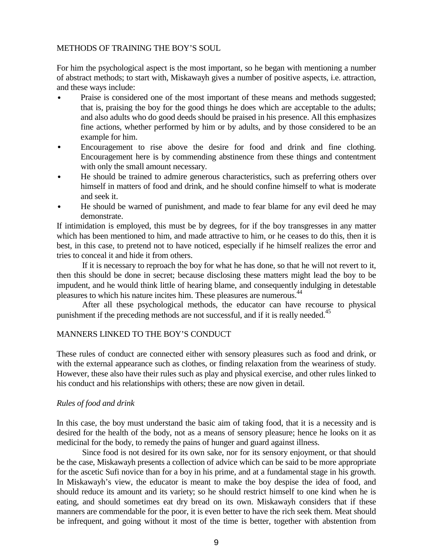## METHODS OF TRAINING THE BOY'S SOUL

For him the psychological aspect is the most important, so he began with mentioning a number of abstract methods; to start with, Miskawayh gives a number of positive aspects, i.e. attraction, and these ways include:

- Praise is considered one of the most important of these means and methods suggested; that is, praising the boy for the good things he does which are acceptable to the adults; and also adults who do good deeds should be praised in his presence. All this emphasizes fine actions, whether performed by him or by adults, and by those considered to be an example for him.
- Encouragement to rise above the desire for food and drink and fine clothing. Encouragement here is by commending abstinence from these things and contentment with only the small amount necessary.
- He should be trained to admire generous characteristics, such as preferring others over himself in matters of food and drink, and he should confine himself to what is moderate and seek it.
- He should be warned of punishment, and made to fear blame for any evil deed he may demonstrate.

If intimidation is employed, this must be by degrees, for if the boy transgresses in any matter which has been mentioned to him, and made attractive to him, or he ceases to do this, then it is best, in this case, to pretend not to have noticed, especially if he himself realizes the error and tries to conceal it and hide it from others.

If it is necessary to reproach the boy for what he has done, so that he will not revert to it, then this should be done in secret; because disclosing these matters might lead the boy to be impudent, and he would think little of hearing blame, and consequently indulging in detestable pleasures to which his nature incites him. These pleasures are numerous.<sup>44</sup>

After all these psychological methods, the educator can have recourse to physical punishment if the preceding methods are not successful, and if it is really needed.<sup>45</sup>

## MANNERS LINKED TO THE BOY'S CONDUCT

These rules of conduct are connected either with sensory pleasures such as food and drink, or with the external appearance such as clothes, or finding relaxation from the weariness of study. However, these also have their rules such as play and physical exercise, and other rules linked to his conduct and his relationships with others; these are now given in detail.

### *Rules of food and drink*

In this case, the boy must understand the basic aim of taking food, that it is a necessity and is desired for the health of the body, not as a means of sensory pleasure; hence he looks on it as medicinal for the body, to remedy the pains of hunger and guard against illness.

Since food is not desired for its own sake, nor for its sensory enjoyment, or that should be the case, Miskawayh presents a collection of advice which can be said to be more appropriate for the ascetic Sufi novice than for a boy in his prime, and at a fundamental stage in his growth. In Miskawayh's view, the educator is meant to make the boy despise the idea of food, and should reduce its amount and its variety; so he should restrict himself to one kind when he is eating, and should sometimes eat dry bread on its own. Miskawayh considers that if these manners are commendable for the poor, it is even better to have the rich seek them. Meat should be infrequent, and going without it most of the time is better, together with abstention from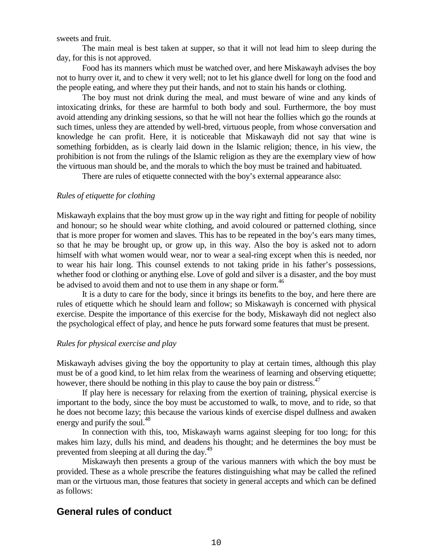sweets and fruit.

The main meal is best taken at supper, so that it will not lead him to sleep during the day, for this is not approved.

Food has its manners which must be watched over, and here Miskawayh advises the boy not to hurry over it, and to chew it very well; not to let his glance dwell for long on the food and the people eating, and where they put their hands, and not to stain his hands or clothing.

The boy must not drink during the meal, and must beware of wine and any kinds of intoxicating drinks, for these are harmful to both body and soul. Furthermore, the boy must avoid attending any drinking sessions, so that he will not hear the follies which go the rounds at such times, unless they are attended by well-bred, virtuous people, from whose conversation and knowledge he can profit. Here, it is noticeable that Miskawayh did not say that wine is something forbidden, as is clearly laid down in the Islamic religion; thence, in his view, the prohibition is not from the rulings of the Islamic religion as they are the exemplary view of how the virtuous man should be, and the morals to which the boy must be trained and habituated.

There are rules of etiquette connected with the boy's external appearance also:

### *Rules of etiquette for clothing*

Miskawayh explains that the boy must grow up in the way right and fitting for people of nobility and honour; so he should wear white clothing, and avoid coloured or patterned clothing, since that is more proper for women and slaves. This has to be repeated in the boy's ears many times, so that he may be brought up, or grow up, in this way. Also the boy is asked not to adorn himself with what women would wear, nor to wear a seal-ring except when this is needed, nor to wear his hair long. This counsel extends to not taking pride in his father's possessions, whether food or clothing or anything else. Love of gold and silver is a disaster, and the boy must be advised to avoid them and not to use them in any shape or form.<sup>46</sup>

It is a duty to care for the body, since it brings its benefits to the boy, and here there are rules of etiquette which he should learn and follow; so Miskawayh is concerned with physical exercise. Despite the importance of this exercise for the body, Miskawayh did not neglect also the psychological effect of play, and hence he puts forward some features that must be present.

### *Rules for physical exercise and play*

Miskawayh advises giving the boy the opportunity to play at certain times, although this play must be of a good kind, to let him relax from the weariness of learning and observing etiquette; however, there should be nothing in this play to cause the boy pain or distress.<sup>47</sup>

If play here is necessary for relaxing from the exertion of training, physical exercise is important to the body, since the boy must be accustomed to walk, to move, and to ride, so that he does not become lazy; this because the various kinds of exercise dispel dullness and awaken energy and purify the soul.<sup>48</sup>

In connection with this, too, Miskawayh warns against sleeping for too long; for this makes him lazy, dulls his mind, and deadens his thought; and he determines the boy must be prevented from sleeping at all during the day.<sup>49</sup>

Miskawayh then presents a group of the various manners with which the boy must be provided. These as a whole prescribe the features distinguishing what may be called the refined man or the virtuous man, those features that society in general accepts and which can be defined as follows:

## **General rules of conduct**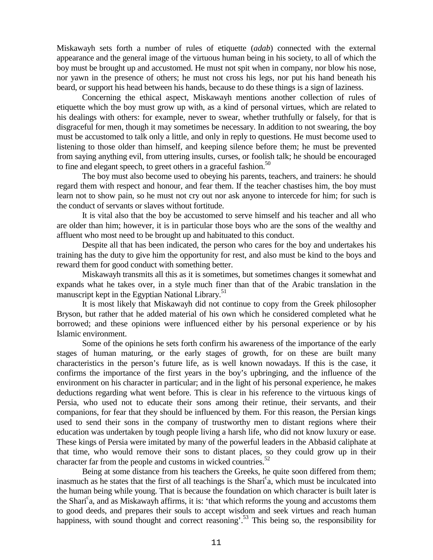Miskawayh sets forth a number of rules of etiquette (*adab*) connected with the external appearance and the general image of the virtuous human being in his society, to all of which the boy must be brought up and accustomed. He must not spit when in company, nor blow his nose, nor yawn in the presence of others; he must not cross his legs, nor put his hand beneath his beard, or support his head between his hands, because to do these things is a sign of laziness.

Concerning the ethical aspect, Miskawayh mentions another collection of rules of etiquette which the boy must grow up with, as a kind of personal virtues, which are related to his dealings with others: for example, never to swear, whether truthfully or falsely, for that is disgraceful for men, though it may sometimes be necessary. In addition to not swearing, the boy must be accustomed to talk only a little, and only in reply to questions. He must become used to listening to those older than himself, and keeping silence before them; he must be prevented from saying anything evil, from uttering insults, curses, or foolish talk; he should be encouraged to fine and elegant speech, to greet others in a graceful fashion.<sup>50</sup>

The boy must also become used to obeying his parents, teachers, and trainers: he should regard them with respect and honour, and fear them. If the teacher chastises him, the boy must learn not to show pain, so he must not cry out nor ask anyone to intercede for him; for such is the conduct of servants or slaves without fortitude.

It is vital also that the boy be accustomed to serve himself and his teacher and all who are older than him; however, it is in particular those boys who are the sons of the wealthy and affluent who most need to be brought up and habituated to this conduct.

Despite all that has been indicated, the person who cares for the boy and undertakes his training has the duty to give him the opportunity for rest, and also must be kind to the boys and reward them for good conduct with something better.

Miskawayh transmits all this as it is sometimes, but sometimes changes it somewhat and expands what he takes over, in a style much finer than that of the Arabic translation in the manuscript kept in the Egyptian National Library.<sup>51</sup>

It is most likely that Miskawayh did not continue to copy from the Greek philosopher Bryson, but rather that he added material of his own which he considered completed what he borrowed; and these opinions were influenced either by his personal experience or by his Islamic environment.

Some of the opinions he sets forth confirm his awareness of the importance of the early stages of human maturing, or the early stages of growth, for on these are built many characteristics in the person's future life, as is well known nowadays. If this is the case, it confirms the importance of the first years in the boy's upbringing, and the influence of the environment on his character in particular; and in the light of his personal experience, he makes deductions regarding what went before. This is clear in his reference to the virtuous kings of Persia, who used not to educate their sons among their retinue, their servants, and their companions, for fear that they should be influenced by them. For this reason, the Persian kings used to send their sons in the company of trustworthy men to distant regions where their education was undertaken by tough people living a harsh life, who did not know luxury or ease. These kings of Persia were imitated by many of the powerful leaders in the Abbasid caliphate at that time, who would remove their sons to distant places, so they could grow up in their character far from the people and customs in wicked countries.<sup>52</sup>

Being at some distance from his teachers the Greeks, he quite soon differed from them; inasmuch as he states that the first of all teachings is the Shari<sup>c</sup>a, which must be inculcated into the human being while young. That is because the foundation on which character is built later is the Shari<sup>c</sup>a, and as Miskawayh affirms, it is: 'that which reforms the young and accustoms them to good deeds, and prepares their souls to accept wisdom and seek virtues and reach human happiness, with sound thought and correct reasoning'.<sup>53</sup> This being so, the responsibility for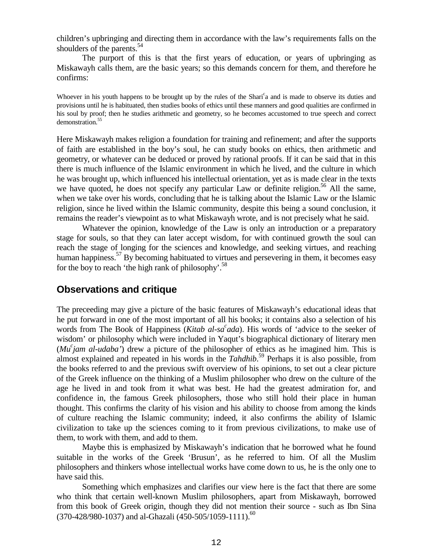children's upbringing and directing them in accordance with the law's requirements falls on the shoulders of the parents.<sup>54</sup>

The purport of this is that the first years of education, or years of upbringing as Miskawayh calls them, are the basic years; so this demands concern for them, and therefore he confirms:

Whoever in his youth happens to be brought up by the rules of the Shari<sup>c</sup>a and is made to observe its duties and provisions until he is habituated, then studies books of ethics until these manners and good qualities are confirmed in his soul by proof; then he studies arithmetic and geometry, so he becomes accustomed to true speech and correct demonstration.<sup>55</sup>

Here Miskawayh makes religion a foundation for training and refinement; and after the supports of faith are established in the boy's soul, he can study books on ethics, then arithmetic and geometry, or whatever can be deduced or proved by rational proofs. If it can be said that in this there is much influence of the Islamic environment in which he lived, and the culture in which he was brought up, which influenced his intellectual orientation, yet as is made clear in the texts we have quoted, he does not specify any particular Law or definite religion.<sup>56</sup> All the same, when we take over his words, concluding that he is talking about the Islamic Law or the Islamic religion, since he lived within the Islamic community, despite this being a sound conclusion, it remains the reader's viewpoint as to what Miskawayh wrote, and is not precisely what he said.

Whatever the opinion, knowledge of the Law is only an introduction or a preparatory stage for souls, so that they can later accept wisdom, for with continued growth the soul can reach the stage of longing for the sciences and knowledge, and seeking virtues, and reaching human happiness.<sup>57</sup> By becoming habituated to virtues and persevering in them, it becomes easy for the boy to reach 'the high rank of philosophy'.<sup>58</sup>

## **Observations and critique**

The preceeding may give a picture of the basic features of Miskawayh's educational ideas that he put forward in one of the most important of all his books; it contains also a selection of his words from The Book of Happiness (*Kitab al-sa<sup>c</sup>ada*). His words of 'advice to the seeker of wisdom' or philosophy which were included in Yaqut's biographical dictionary of literary men (*Muc jam al-udaba'*) drew a picture of the philosopher of ethics as he imagined him. This is almost explained and repeated in his words in the *Tahdhib*. 59 Perhaps it is also possible, from the books referred to and the previous swift overview of his opinions, to set out a clear picture of the Greek influence on the thinking of a Muslim philosopher who drew on the culture of the age he lived in and took from it what was best. He had the greatest admiration for, and confidence in, the famous Greek philosophers, those who still hold their place in human thought. This confirms the clarity of his vision and his ability to choose from among the kinds of culture reaching the Islamic community; indeed, it also confirms the ability of Islamic civilization to take up the sciences coming to it from previous civilizations, to make use of them, to work with them, and add to them.

Maybe this is emphasized by Miskawayh's indication that he borrowed what he found suitable in the works of the Greek 'Brusun', as he referred to him. Of all the Muslim philosophers and thinkers whose intellectual works have come down to us, he is the only one to have said this.

Something which emphasizes and clarifies our view here is the fact that there are some who think that certain well-known Muslim philosophers, apart from Miskawayh, borrowed from this book of Greek origin, though they did not mention their source - such as Ibn Sina (370-428/980-1037) and al-Ghazali (450-505/1059-1111).<sup>60</sup>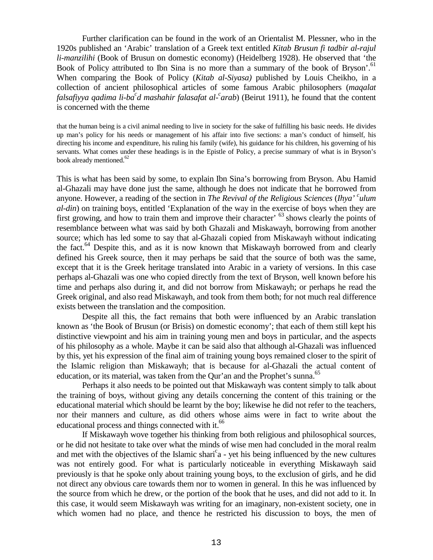Further clarification can be found in the work of an Orientalist M. Plessner, who in the 1920s published an 'Arabic' translation of a Greek text entitled *Kitab Brusun fi tadbir al-rajul li-manzilihi* (Book of Brusun on domestic economy) (Heidelberg 1928). He observed that 'the Book of Policy attributed to Ibn Sina is no more than a summary of the book of Bryson'.<sup>61</sup> When comparing the Book of Policy (*Kitab al-Siyasa)* published by Louis Cheikho, in a collection of ancient philosophical articles of some famous Arabic philosophers (*maqalat* falsafiyya qadima li-ba<sup>c</sup>d mashahir falasafat al-<sup>c</sup>arab) (Beirut 1911), he found that the content is concerned with the theme

that the human being is a civil animal needing to live in society for the sake of fulfilling his basic needs. He divides up man's policy for his needs or management of his affair into five sections: a man's conduct of himself, his directing his income and expenditure, his ruling his family (wife), his guidance for his children, his governing of his servants. What comes under these headings is in the Epistle of Policy, a precise summary of what is in Bryson's book already mentioned.<sup>62</sup>

This is what has been said by some, to explain Ibn Sina's borrowing from Bryson. Abu Hamid al-Ghazali may have done just the same, although he does not indicate that he borrowed from anyone. However, a reading of the section in *The Revival of the Religious Sciences* (*Ihya' c ulum al-din*) on training boys, entitled 'Explanation of the way in the exercise of boys when they are first growing, and how to train them and improve their character' <sup>63</sup> shows clearly the points of resemblance between what was said by both Ghazali and Miskawayh, borrowing from another source; which has led some to say that al-Ghazali copied from Miskawayh without indicating the fact.<sup>64</sup> Despite this, and as it is now known that Miskawayh borrowed from and clearly defined his Greek source, then it may perhaps be said that the source of both was the same, except that it is the Greek heritage translated into Arabic in a variety of versions. In this case perhaps al-Ghazali was one who copied directly from the text of Bryson, well known before his time and perhaps also during it, and did not borrow from Miskawayh; or perhaps he read the Greek original, and also read Miskawayh, and took from them both; for not much real difference exists between the translation and the composition.

Despite all this, the fact remains that both were influenced by an Arabic translation known as 'the Book of Brusun (or Brisis) on domestic economy'; that each of them still kept his distinctive viewpoint and his aim in training young men and boys in particular, and the aspects of his philosophy as a whole. Maybe it can be said also that although al-Ghazali was influenced by this, yet his expression of the final aim of training young boys remained closer to the spirit of the Islamic religion than Miskawayh; that is because for al-Ghazali the actual content of education, or its material, was taken from the Qur'an and the Prophet's sunna.<sup>65</sup>

Perhaps it also needs to be pointed out that Miskawayh was content simply to talk about the training of boys, without giving any details concerning the content of this training or the educational material which should be learnt by the boy; likewise he did not refer to the teachers, nor their manners and culture, as did others whose aims were in fact to write about the educational process and things connected with it.<sup>66</sup>

If Miskawayh wove together his thinking from both religious and philosophical sources, or he did not hesitate to take over what the minds of wise men had concluded in the moral realm and met with the objectives of the Islamic shari<sup>c</sup>a - yet his being influenced by the new cultures was not entirely good. For what is particularly noticeable in everything Miskawayh said previously is that he spoke only about training young boys, to the exclusion of girls, and he did not direct any obvious care towards them nor to women in general. In this he was influenced by the source from which he drew, or the portion of the book that he uses, and did not add to it. In this case, it would seem Miskawayh was writing for an imaginary, non-existent society, one in which women had no place, and thence he restricted his discussion to boys, the men of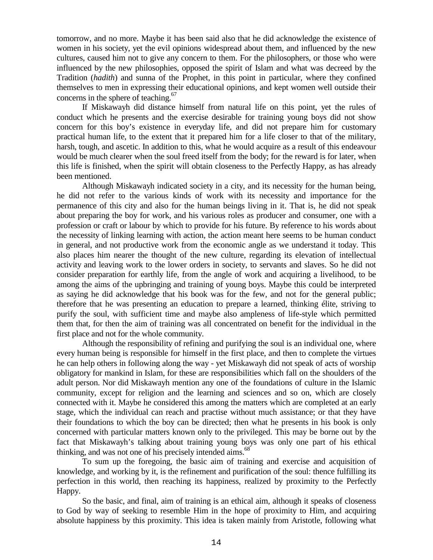tomorrow, and no more. Maybe it has been said also that he did acknowledge the existence of women in his society, yet the evil opinions widespread about them, and influenced by the new cultures, caused him not to give any concern to them. For the philosophers, or those who were influenced by the new philosophies, opposed the spirit of Islam and what was decreed by the Tradition (*hadith*) and sunna of the Prophet, in this point in particular, where they confined themselves to men in expressing their educational opinions, and kept women well outside their concerns in the sphere of teaching.<sup>67</sup>

If Miskawayh did distance himself from natural life on this point, yet the rules of conduct which he presents and the exercise desirable for training young boys did not show concern for this boy's existence in everyday life, and did not prepare him for customary practical human life, to the extent that it prepared him for a life closer to that of the military, harsh, tough, and ascetic. In addition to this, what he would acquire as a result of this endeavour would be much clearer when the soul freed itself from the body; for the reward is for later, when this life is finished, when the spirit will obtain closeness to the Perfectly Happy, as has already been mentioned.

Although Miskawayh indicated society in a city, and its necessity for the human being, he did not refer to the various kinds of work with its necessity and importance for the permanence of this city and also for the human beings living in it. That is, he did not speak about preparing the boy for work, and his various roles as producer and consumer, one with a profession or craft or labour by which to provide for his future. By reference to his words about the necessity of linking learning with action, the action meant here seems to be human conduct in general, and not productive work from the economic angle as we understand it today. This also places him nearer the thought of the new culture, regarding its elevation of intellectual activity and leaving work to the lower orders in society, to servants and slaves. So he did not consider preparation for earthly life, from the angle of work and acquiring a livelihood, to be among the aims of the upbringing and training of young boys. Maybe this could be interpreted as saying he did acknowledge that his book was for the few, and not for the general public; therefore that he was presenting an education to prepare a learned, thinking élite, striving to purify the soul, with sufficient time and maybe also ampleness of life-style which permitted them that, for then the aim of training was all concentrated on benefit for the individual in the first place and not for the whole community.

Although the responsibility of refining and purifying the soul is an individual one, where every human being is responsible for himself in the first place, and then to complete the virtues he can help others in following along the way - yet Miskawayh did not speak of acts of worship obligatory for mankind in Islam, for these are responsibilities which fall on the shoulders of the adult person. Nor did Miskawayh mention any one of the foundations of culture in the Islamic community, except for religion and the learning and sciences and so on, which are closely connected with it. Maybe he considered this among the matters which are completed at an early stage, which the individual can reach and practise without much assistance; or that they have their foundations to which the boy can be directed; then what he presents in his book is only concerned with particular matters known only to the privileged. This may be borne out by the fact that Miskawayh's talking about training young boys was only one part of his ethical thinking, and was not one of his precisely intended  $aims<sup>68</sup>$ .

To sum up the foregoing, the basic aim of training and exercise and acquisition of knowledge, and working by it, is the refinement and purification of the soul: thence fulfilling its perfection in this world, then reaching its happiness, realized by proximity to the Perfectly Happy.

So the basic, and final, aim of training is an ethical aim, although it speaks of closeness to God by way of seeking to resemble Him in the hope of proximity to Him, and acquiring absolute happiness by this proximity. This idea is taken mainly from Aristotle, following what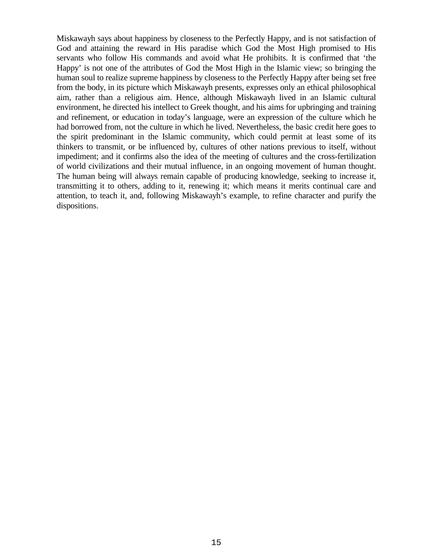Miskawayh says about happiness by closeness to the Perfectly Happy, and is not satisfaction of God and attaining the reward in His paradise which God the Most High promised to His servants who follow His commands and avoid what He prohibits. It is confirmed that 'the Happy' is not one of the attributes of God the Most High in the Islamic view; so bringing the human soul to realize supreme happiness by closeness to the Perfectly Happy after being set free from the body, in its picture which Miskawayh presents, expresses only an ethical philosophical aim, rather than a religious aim. Hence, although Miskawayh lived in an Islamic cultural environment, he directed his intellect to Greek thought, and his aims for upbringing and training and refinement, or education in today's language, were an expression of the culture which he had borrowed from, not the culture in which he lived. Nevertheless, the basic credit here goes to the spirit predominant in the Islamic community, which could permit at least some of its thinkers to transmit, or be influenced by, cultures of other nations previous to itself, without impediment; and it confirms also the idea of the meeting of cultures and the cross-fertilization of world civilizations and their mutual influence, in an ongoing movement of human thought. The human being will always remain capable of producing knowledge, seeking to increase it, transmitting it to others, adding to it, renewing it; which means it merits continual care and attention, to teach it, and, following Miskawayh's example, to refine character and purify the dispositions.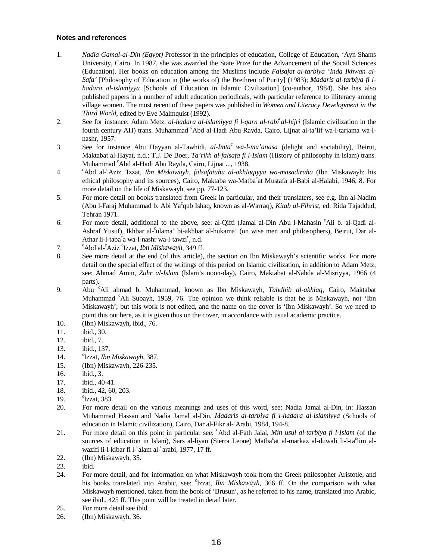#### **Notes and references**

- 1. *Nadia Gamal-al-Din (Egypt)* Professor in the principles of education, College of Education, 'Ayn Shams University, Cairo. In 1987, she was awarded the State Prize for the Advancement of the Socail Sciences (Education). Her books on education among the Muslims include *Falsafat al-tarbiya 'Inda Ikhwan al-Safa'* [Philosophy of Education in (the works of) the Brethren of Purity] (1983); *Madaris al-tarbiya fi lhadara al-islamiyya* [Schools of Education in Islamic Civilization] (co-author, 1984). She has also published papers in a number of adult education periodicals, with particular reference to illiteracy among village women. The most recent of these papers was published in *Women and Literacy Development in the Third World*, edited by Eve Malmquist (1992).
- 2. See for instance: Adam Metz, *al-hadara al-islamiyya fi l-qarn al-rabic al-hijri* (Islamic civilization in the fourth century AH) trans. Muhammad 'Abd al-Hadi Abu Rayda, Cairo, Lijnat al-ta'lif wa-l-tarjama wa-lnashr, 1957.
- 3. See for instance Abu Hayyan al-Tawhidi, *al-Imtac wa-l-mu'anasa* (delight and sociability), Beirut, Maktabat al-Hayat, n.d.; T.J. De Boer, *Ta'rikh al-falsafa fi l-Islam* (History of philosophy in Islam) trans. Muhammad <sup>c</sup>Abd al-Hadi Abu Rayda, Cairo, Lijnat ..., 1938.
- $4.$ Abd al-<sup>c</sup>Aziz <sup>c</sup>Izzat, *Ibn Miskawayh, falsafatuhu al-akhlaqiyya wa-masadiruha* (Ibn Miskawayh: his ethical philosophy and its sources), Cairo, Maktaba wa-Matba<sup>c</sup>at Mustafa al-Babi al-Halabi, 1946, 8. For more detail on the life of Miskawayh, see pp. 77-123.
- 5. For more detail on books translated from Greek in particular, and their translaters, see e.g. Ibn al-Nadim (Abu l-Faraj Muhammad b. Abi Yac qub Ishaq, known as al-Warraq), *Kitab al-Fihrist*, ed. Rida Tajaddud, Tehran 1971.
- 6. For more detail, additional to the above, see: al-Qifti (Jamal al-Din Abu l-Mahasin <sup>c</sup>Ali b. al-Qadi al-Ashraf Yusuf), Ikhbar al-°ulama' bi-akhbar al-hukama' (on wise men and philosophers), Beirut, Dar al-Athar li-l-taba<sup>c</sup>a wa-l-nashr wa-l-tawzi<sup>c</sup>, n.d.
- 7. Abd al-<sup>c</sup>Aziz <sup>c</sup>Izzat, *Ibn Miskawayh*, 349 ff.
- 8. See more detail at the end (of this article), the section on Ibn Miskawayh's scientific works. For more detail on the special effect of the writings of this period on Islamic civilization, in addition to Adam Metz, see: Ahmad Amin, *Zuhr al-Islam* (Islam's noon-day), Cairo, Maktabat al-Nahda al-Misriyya, 1966 (4 parts).
- 9. Abu <sup>c</sup> Ali ahmad b. Muhammad, known as Ibn Miskawayh, *Tahdhib al-akhlaq*, Cairo, Maktabat Muhammad <sup>c</sup>Ali Subayh, 1959, 76. The opinion we think reliable is that he is Miskawayh, not 'Ibn Miskawayh'; but this work is not edited, and the name on the cover is 'Ibn Miskawayh'. So we need to point this out here, as it is given thus on the cover, in accordance with usual academic practice.
- 10. (Ibn) Miskawayh, ibid., 76.
- 11. ibid., 30.
- 12. ibid., 7.
- 13. ibid., 137.
- 14. Izzat, *Ibn Miskawayh*, 387.
- 15. (Ibn) Miskawayh, 226-235.
- 16. ibid., 3.
- 17. ibid., 40-41.
- 18. ibid., 42, 60, 203.
- 19.  $\mathrm{^{c}Izzat.}$  383.
- 20. For more detail on the various meanings and uses of this word, see: Nadia Jamal al-Din, in: Hassan Muhammad Hassan and Nadia Jamal al-Din, *Madaris al-tarbiya fi l-hadara al-islamiyya* (Schools of education in Islamic civilization), Cairo, Dar al-Fikr al-<sup>c</sup>Arabi, 1984, 194-8.
- 21. For more detail on this point in particular see: <sup>c</sup>Abd al-Fath Jalal, *Min usul al-tarbiya fi l-Islam* (of the sources of education in Islam), Sars al-liyan (Sierra Leone) Matba<sup>c</sup>at al-markaz al-duwali li-l-ta<sup>c</sup>lim alwazifi li-l-kibar fi l-<sup>c</sup>alam al-<sup>c</sup>arabi, 1977, 17 ff.
- 22. (Ibn) Miskawayh, 35.
- 23. ibid.
- 24. For more detail, and for information on what Miskawayh took from the Greek philosopher Aristotle, and his books translated into Arabic, see: 'Izzat, *Ibn Miskawayh*, 366 ff. On the comparison with what Miskawayh mentioned, taken from the book of 'Brusun', as he referred to his name, translated into Arabic, see ibid., 425 ff. This point will be treated in detail later.
- 25. For more detail see ibid.
- 26. (Ibn) Miskawayh, 36.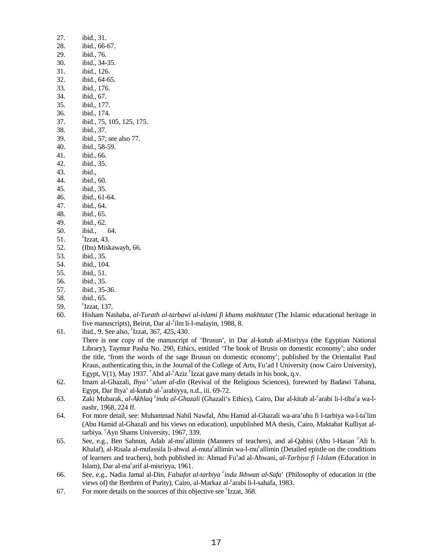| 27. | ibid., 31.                                                                                             |
|-----|--------------------------------------------------------------------------------------------------------|
| 28. | ibid., 66-67.                                                                                          |
| 29. | ibid., 76.                                                                                             |
| 30. | ibid., 34-35.                                                                                          |
| 31. | ibid., 126.                                                                                            |
| 32. | ibid., 64-65.                                                                                          |
| 33. | ibid., 176.                                                                                            |
| 34. | ibid., 67.                                                                                             |
| 35. | ibid., 177.                                                                                            |
| 36. | ibid., 174.                                                                                            |
| 37. | ibid., 75, 105, 125, 175.                                                                              |
| 38. | ibid., 37.                                                                                             |
| 39. | ibid., 57; see also 77.                                                                                |
| 40. | ibid., 58-59.                                                                                          |
| 41. | ibid., 66.                                                                                             |
| 42. | ibid., 35.                                                                                             |
| 43. | ibid.,                                                                                                 |
| 44. | ibid., 60.                                                                                             |
| 45. | ibid., 35.                                                                                             |
| 46. | ibid., 61-64.                                                                                          |
| 47. | ibid., 64.                                                                                             |
| 48. | ibid., 65.                                                                                             |
| 49. | ibid., 62.                                                                                             |
| 50. | ibid.,<br>64.                                                                                          |
| 51. | $\mathrm{c}_{\mathrm{Izzat}, 43.}$                                                                     |
| 52. | (Ibn) Miskawayh, 66.                                                                                   |
| 53. | ibid., 35.                                                                                             |
| 54. | ibid., 104.                                                                                            |
| 55. | ibid., 51.                                                                                             |
| 56. | ibid., 35.                                                                                             |
| 57. | ibid., 35-36.                                                                                          |
| 58. | ibid., 65.                                                                                             |
| 59. | $\mathrm{c}_{\mathrm{Izzat}, 137}$ .                                                                   |
| 60. | Hisham Nashaba, al-Turath al-tarbawi al-islami fi khams makhtutat (The Islamic educational heritage in |
|     | five manuscripts), Beirut, Dar al-cilm li-l-malayin, 1988, 8.                                          |

- 61. ibid., 9. See also, <sup>c</sup>Izzat, 367, 425, 430.
	- There is one copy of the manuscript of 'Brusun', in Dar al-kutub al-Misriyya (the Egyptian National Library), Taymur Pasha No. 290, Ethics, entitled 'The book of Brusis on domestic economy'; also under the title, 'from the words of the sage Brusun on domestic economy'; published by the Orientalist Paul Kraus, authenticating this, in the Journal of the College of Arts, Fu'ad I University (now Cairo University), Egypt, V(1), May 1937. CAbd al-CAziz Classical gave many details in his book, q.v.
- 62. Imam al-Ghazali, *Ihya' <sup>c</sup> ulum al-din* (Revival of the Religious Sciences), foreword by Badawi Tabana, Egypt, Dar Ihya' al-kutub al-°arabiyya, n.d., iii. 69-72.
- 63. Zaki Mubarak, *al-Akhlaq <sup>c</sup>inda al-Ghazali* (Ghazali's Ethics), Cairo, Dar al-kitab al-<sup>c</sup>arabi li-l-tiba<sup>c</sup>a wa-lnashr, 1968, 224 ff.
- 64. For more detail, see: Muhammad Nabil Nawfal, Abu Hamid al-Ghazali wa-ara'uhu fi l-tarbiya wa-l-ta°lim (Abu Hamid al-Ghazali and his views on education), unpublished MA thesis, Cairo, Maktabat Kulliyat altarbiya. <sup>c</sup>Ayn Shams University, 1967, 339.
- 65. See, e.g., Ben Sahnun, Adab al-mu<sup>c</sup>allimin (Manners of teachers), and al-Qabisi (Abu l-Hasan <sup>c</sup>Ali b. Khalaf), al-Risala al-mufassila li-ahwal al-muta<sup>c</sup>allimin wa-l-mu<sup>c</sup>allimin (Detailed epistle on the conditions of learners and teachers), both published in: Ahmad Fu'ad al-Ahwani, *al-Tarbiya fi l-Islam* (Education in Islam), Dar al-ma<sup>c</sup>arif al-misriyya, 1961.
- 66. See, e.g., Nadia Jamal al-Din, *Falsafat al-tarbiya <sup>c</sup> inda Ikhwan al-Safa*' (Philosophy of education in (the views of) the Brethren of Purity), Cairo, al-Markaz al-°arabi li-l-sahafa, 1983.
- 67. For more details on the sources of this objective see <sup>c</sup>Izzat, 368.